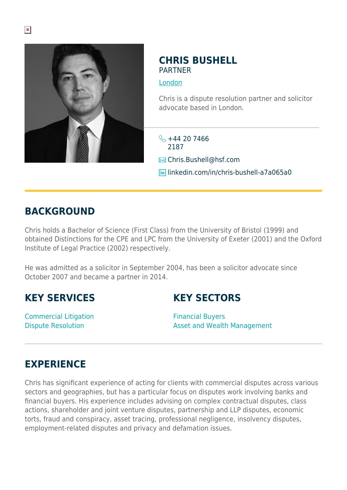

#### **CHRIS BUSHELL PARTNER**

#### [London](https://www.herbertsmithfreehills.com/lang-zh-hans/where-we-work/london)

Chris is a dispute resolution partner and solicitor advocate based in London.

 $\frac{1}{2} + 44 20 7466$ 2187

**Ex** Chris.Bushell@hsf.com

linkedin.com/in/chris-bushell-a7a065a0

## **BACKGROUND**

Chris holds a Bachelor of Science (First Class) from the University of Bristol (1999) and obtained Distinctions for the CPE and LPC from the University of Exeter (2001) and the Oxford Institute of Legal Practice (2002) respectively.

He was admitted as a solicitor in September 2004, has been a solicitor advocate since October 2007 and became a partner in 2014.

## **KEY SERVICES**

Commercial Litigation Dispute Resolution

# **KEY SECTORS**

Financial Buyers Asset and Wealth Management

# **EXPERIENCE**

Chris has significant experience of acting for clients with commercial disputes across various sectors and geographies, but has a particular focus on disputes work involving banks and financial buyers. His experience includes advising on complex contractual disputes, class actions, shareholder and joint venture disputes, partnership and LLP disputes, economic torts, fraud and conspiracy, asset tracing, professional negligence, insolvency disputes, employment-related disputes and privacy and defamation issues.